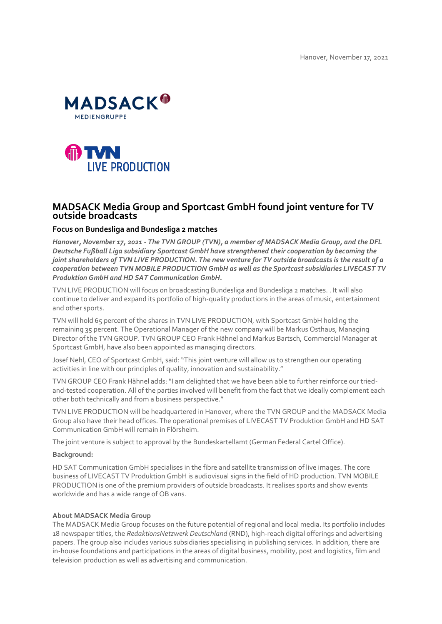



# **MADSACK Media Group and Sportcast GmbH found joint venture for TV outside broadcasts**

### **Focus on Bundesliga and Bundesliga 2 matches**

*Hanover, November 17, 2021 - The TVN GROUP (TVN), a member of MADSACK Media Group, and the DFL Deutsche Fußball Liga subsidiary Sportcast GmbH have strengthened their cooperation by becoming the joint shareholders of TVN LIVE PRODUCTION. The new venture for TV outside broadcasts is the result of a cooperation between TVN MOBILE PRODUCTION GmbH as well as the Sportcast subsidiaries LIVECAST TV Produktion GmbH and HD SAT Communication GmbH.*

TVN LIVE PRODUCTION will focus on broadcasting Bundesliga and Bundesliga 2 matches. . It will also continue to deliver and expand its portfolio of high-quality productions in the areas of music, entertainment and other sports.

TVN will hold 65 percent of the shares in TVN LIVE PRODUCTION, with Sportcast GmbH holding the remaining 35 percent. The Operational Manager of the new company will be Markus Osthaus, Managing Director of the TVN GROUP. TVN GROUP CEO Frank Hähnel and Markus Bartsch, Commercial Manager at Sportcast GmbH, have also been appointed as managing directors.

Josef Nehl, CEO of Sportcast GmbH, said: "This joint venture will allow us to strengthen our operating activities in line with our principles of quality, innovation and sustainability."

TVN GROUP CEO Frank Hähnel adds: "I am delighted that we have been able to further reinforce our triedand-tested cooperation. All of the parties involved will benefit from the fact that we ideally complement each other both technically and from a business perspective."

TVN LIVE PRODUCTION will be headquartered in Hanover, where the TVN GROUP and the MADSACK Media Group also have their head offices. The operational premises of LIVECAST TV Produktion GmbH and HD SAT Communication GmbH will remain in Flörsheim.

The joint venture is subject to approval by the Bundeskartellamt (German Federal Cartel Office).

#### **Background:**

HD SAT Communication GmbH specialises in the fibre and satellite transmission of live images. The core business of LIVECAST TV Produktion GmbH is audiovisual signs in the field of HD production. TVN MOBILE PRODUCTION is one of the premium providers of outside broadcasts. It realises sports and show events worldwide and has a wide range of OB vans.

#### **About MADSACK Media Group**

The MADSACK Media Group focuses on the future potential of regional and local media. Its portfolio includes 18 newspaper titles, the *RedaktionsNetzwerk Deutschland* (RND), high-reach digital offerings and advertising papers. The group also includes various subsidiaries specialising in publishing services. In addition, there are in-house foundations and participations in the areas of digital business, mobility, post and logistics, film and television production as well as advertising and communication.